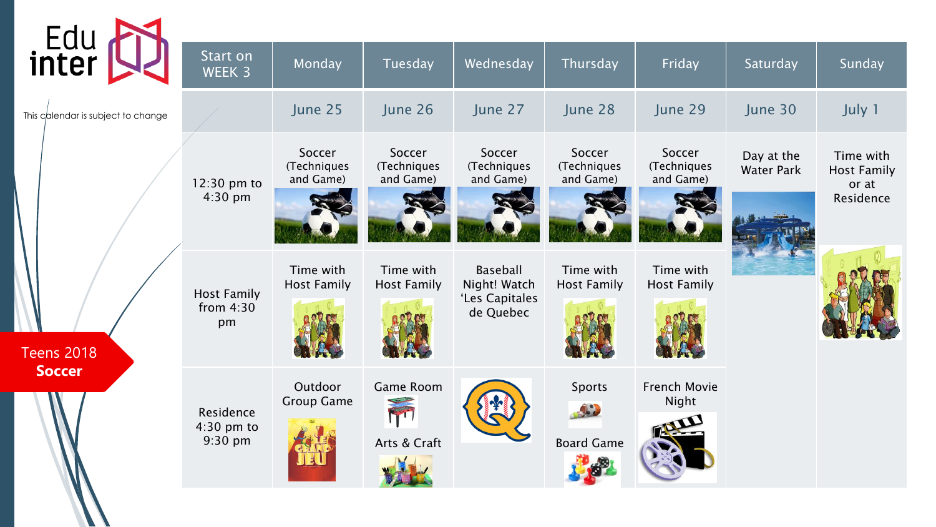| Edu<br>inter                       | Start on                          |                                    |                                    |                                                                |                                    |                                    |                                 |                                          |
|------------------------------------|-----------------------------------|------------------------------------|------------------------------------|----------------------------------------------------------------|------------------------------------|------------------------------------|---------------------------------|------------------------------------------|
|                                    | WEEK 3                            | Monday                             | <b>Tuesday</b>                     | Wednesday                                                      | Thursday                           | Friday                             | Saturday                        | Sunday                                   |
| This calendar is subject to change |                                   | June 25                            | June 26                            | June 27                                                        | June 28                            | June 29                            | June 30                         | July 1                                   |
|                                    | 12:30 pm to<br>4:30 pm            | Soccer<br>(Techniques<br>and Game) | Soccer<br>(Techniques<br>and Game) | Soccer<br>(Techniques<br>and Game)                             | Soccer<br>(Techniques<br>and Game) | Soccer<br>(Techniques<br>and Game) | Day at the<br><b>Water Park</b> | Time with<br><b>Host Family</b><br>or at |
|                                    |                                   |                                    |                                    |                                                                |                                    |                                    |                                 | Residence                                |
|                                    | <b>Host Family</b><br>from $4:30$ | Time with<br><b>Host Family</b>    | Time with<br><b>Host Family</b>    | <b>Baseball</b><br>Night! Watch<br>'Les Capitales<br>de Quebec | Time with<br><b>Host Family</b>    | Time with<br><b>Host Family</b>    |                                 |                                          |
| <b>Teens 2018</b>                  | pm                                |                                    |                                    |                                                                |                                    |                                    |                                 |                                          |
| <b>Soccer</b>                      | Residence                         | Outdoor<br><b>Group Game</b>       | Game Room<br>M                     |                                                                | Sports                             | <b>French Movie</b><br>Night       |                                 |                                          |
|                                    | $4:30$ pm to<br>9:30 pm           |                                    | Arts & Craft                       |                                                                | <b>Board Game</b>                  |                                    |                                 |                                          |
|                                    |                                   |                                    |                                    |                                                                |                                    |                                    |                                 |                                          |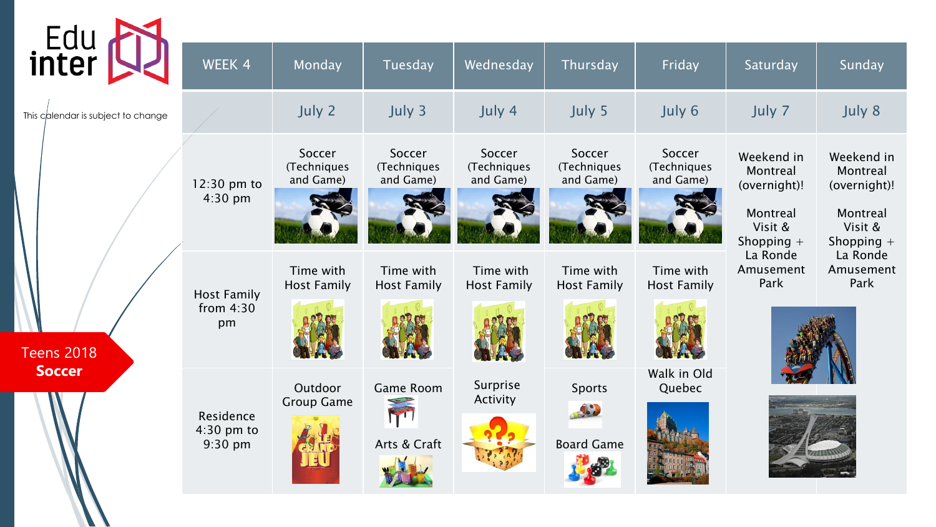| Edu<br>inter                       | $\overline{\mathsf{W}}$ EEK 4           | Monday                             | Tuesday                               | Wednesday                          | Thursday                           | Friday                             | Saturday                                                                      | Sunday                                                                        |
|------------------------------------|-----------------------------------------|------------------------------------|---------------------------------------|------------------------------------|------------------------------------|------------------------------------|-------------------------------------------------------------------------------|-------------------------------------------------------------------------------|
| This calendar is subject to change |                                         | July 2                             | July 3                                | July 4                             | July 5                             | July 6                             | July 7                                                                        | July 8                                                                        |
| <b>Teens 2018</b>                  | 12:30 pm to<br>$4:30$ pm                | Soccer<br>(Techniques<br>and Game) | Soccer<br>(Techniques<br>and Game)    | Soccer<br>(Techniques<br>and Game) | Soccer<br>(Techniques<br>and Game) | Soccer<br>(Techniques<br>and Game) | Weekend in<br>Montreal<br>(overnight)!<br>Montreal<br>Visit &<br>Shopping $+$ | Weekend in<br>Montreal<br>(overnight)!<br>Montreal<br>Visit &<br>Shopping $+$ |
|                                    | <b>Host Family</b><br>from $4:30$<br>pm | Time with<br><b>Host Family</b>    | Time with<br><b>Host Family</b>       | Time with<br><b>Host Family</b>    | Time with<br><b>Host Family</b>    | Time with<br><b>Host Family</b>    | La Ronde<br>Amusement<br>Park                                                 | La Ronde<br>Amusement<br>Park                                                 |
| Soccer                             | Residence<br>$4:30$ pm to<br>9:30 pm    | Outdoor<br><b>Group Game</b>       | <b>Game Room</b><br>M<br>Arts & Craft | Surprise<br>Activity               | Sports<br><b>Board Game</b>        | Walk in Old<br>Quebec              |                                                                               |                                                                               |

W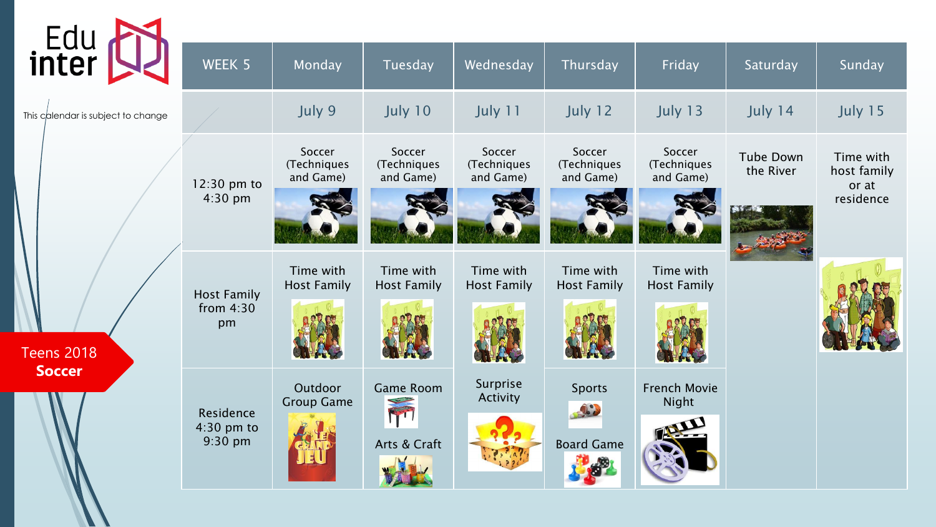| Edu<br><b>inter</b>                |                                 |                                    |                                    |                                    |                                    |                                    |                        |                                   |
|------------------------------------|---------------------------------|------------------------------------|------------------------------------|------------------------------------|------------------------------------|------------------------------------|------------------------|-----------------------------------|
|                                    | WEEK 5                          | Monday                             | Tuesday                            | Wednesday                          | Thursday                           | Friday                             | Saturday               | Sunday                            |
| This calendar is subject to change |                                 | July 9                             | July 10                            | July 11                            | July 12                            | July 13                            | July 14                | July 15                           |
|                                    | 12:30 pm to                     | Soccer<br>(Techniques<br>and Game) | Soccer<br>(Techniques<br>and Game) | Soccer<br>(Techniques<br>and Game) | Soccer<br>(Techniques<br>and Game) | Soccer<br>(Techniques<br>and Game) | Tube Down<br>the River | Time with<br>host family<br>or at |
|                                    | 4:30 pm                         |                                    |                                    |                                    |                                    |                                    |                        | residence                         |
|                                    | <b>Host Family</b><br>from 4:30 | Time with<br><b>Host Family</b>    | Time with<br><b>Host Family</b>    | Time with<br><b>Host Family</b>    | Time with<br><b>Host Family</b>    | Time with<br><b>Host Family</b>    |                        |                                   |
| <b>Teens 2018</b>                  | pm                              |                                    |                                    |                                    |                                    |                                    |                        |                                   |
| <b>Soccer</b>                      | Residence                       | Outdoor<br><b>Group Game</b>       | <b>Game Room</b><br>M              | Surprise<br><b>Activity</b>        | <b>Sports</b>                      | <b>French Movie</b><br>Night       |                        |                                   |
|                                    | $4:30$ pm to<br>$9:30$ pm       |                                    | Arts & Craft                       |                                    | <b>Board Game</b>                  |                                    |                        |                                   |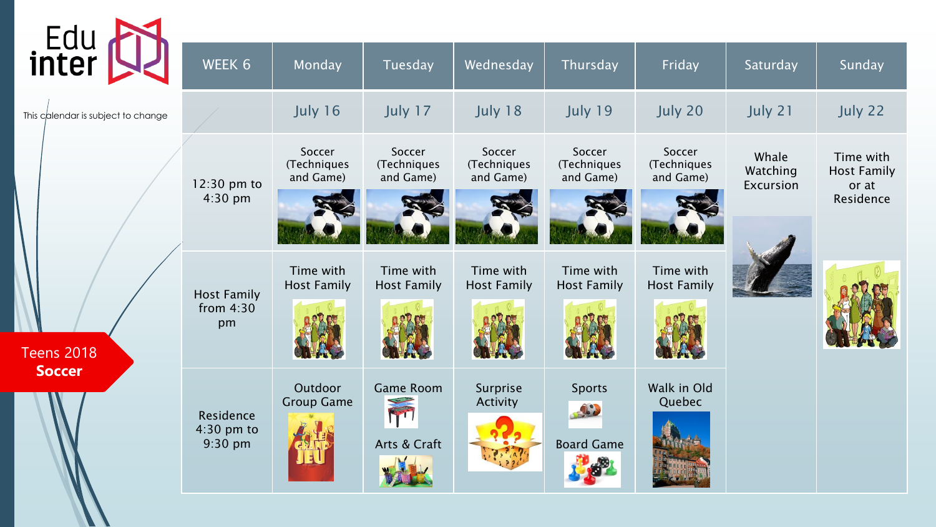| Edu<br>inter                       | WEEK 6                                  | Monday                             | Tuesday                                 | Wednesday                          | Thursday                           | Friday                             | Saturday                       | Sunday                                                |
|------------------------------------|-----------------------------------------|------------------------------------|-----------------------------------------|------------------------------------|------------------------------------|------------------------------------|--------------------------------|-------------------------------------------------------|
| This calendar is subject to change |                                         | July 16                            | July 17                                 | July 18                            | July 19                            | July 20                            | July 21                        | July 22                                               |
|                                    | 12:30 pm to<br>4:30 pm                  | Soccer<br>(Techniques<br>and Game) | Soccer<br>(Techniques<br>and Game)      | Soccer<br>(Techniques<br>and Game) | Soccer<br>(Techniques<br>and Game) | Soccer<br>(Techniques<br>and Game) | Whale<br>Watching<br>Excursion | Time with<br><b>Host Family</b><br>or at<br>Residence |
| <b>Teens 2018</b>                  | <b>Host Family</b><br>from $4:30$<br>pm | Time with<br><b>Host Family</b>    | Time with<br><b>Host Family</b>         | Time with<br><b>Host Family</b>    | Time with<br><b>Host Family</b>    | Time with<br><b>Host Family</b>    |                                |                                                       |
| <b>Soccer</b>                      | Residence<br>$4:30$ pm to<br>9:30 pm    | Outdoor<br><b>Group Game</b>       | <b>Game Room</b><br>ITT<br>Arts & Craft | Surprise<br>Activity               | Sports<br>SIL<br><b>Board Game</b> | Walk in Old<br>Quebec              |                                |                                                       |